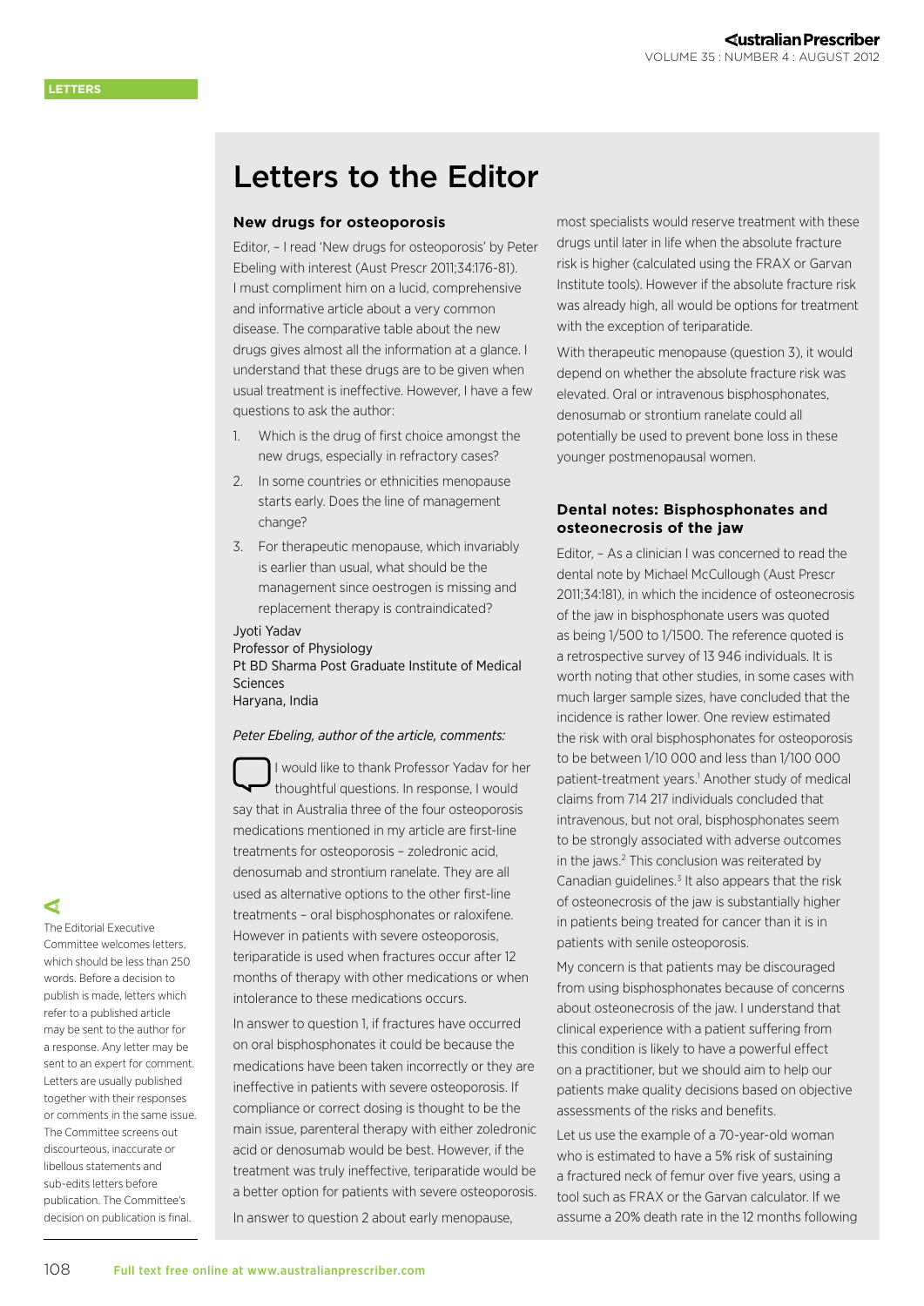# Letters to the Editor

# **New drugs for osteoporosis**

Editor, – I read 'New drugs for osteoporosis' by Peter Ebeling with interest [\(Aust Prescr 2011;34:176-81\)](http://www.australianprescriber.com/magazine/34/6/176/81). I must compliment him on a lucid, comprehensive and informative article about a very common disease. The comparative table about the new drugs gives almost all the information at a glance. I understand that these drugs are to be given when usual treatment is ineffective. However, I have a few questions to ask the author:

- 1. Which is the drug of first choice amongst the new drugs, especially in refractory cases?
- 2. In some countries or ethnicities menopause starts early. Does the line of management change?
- 3. For therapeutic menopause, which invariably is earlier than usual, what should be the management since oestrogen is missing and replacement therapy is contraindicated?

#### Jyoti Yadav

Professor of Physiology Pt BD Sharma Post Graduate Institute of Medical Sciences Haryana, India

## *Peter Ebeling, author of the article, comments:*

I would like to thank Professor Yadav for her thoughtful questions. In response, I would say that in Australia three of the four osteoporosis medications mentioned in my article are first-line treatments for osteoporosis – zoledronic acid, denosumab and strontium ranelate. They are all used as alternative options to the other first-line treatments – oral bisphosphonates or raloxifene. However in patients with severe osteoporosis, teriparatide is used when fractures occur after 12 months of therapy with other medications or when intolerance to these medications occurs.

In answer to question 1, if fractures have occurred on oral bisphosphonates it could be because the medications have been taken incorrectly or they are ineffective in patients with severe osteoporosis. If compliance or correct dosing is thought to be the main issue, parenteral therapy with either zoledronic acid or denosumab would be best. However, if the treatment was truly ineffective, teriparatide would be a better option for patients with severe osteoporosis. In answer to question 2 about early menopause,

most specialists would reserve treatment with these drugs until later in life when the absolute fracture risk is higher (calculated using the [FRAX](http://www.shef.ac.uk/FRAX/) or [Garvan](http://www.garvan.org.au/news-events/news/web-based-tool-to-predict-the-risk-of-bone-fracture.html/)  [Institute tools](http://www.garvan.org.au/news-events/news/web-based-tool-to-predict-the-risk-of-bone-fracture.html/)). However if the absolute fracture risk was already high, all would be options for treatment with the exception of teriparatide.

With therapeutic menopause (question 3), it would depend on whether the absolute fracture risk was elevated. Oral or intravenous bisphosphonates, denosumab or strontium ranelate could all potentially be used to prevent bone loss in these younger postmenopausal women.

# **Dental notes: Bisphosphonates and osteonecrosis of the jaw**

Editor, – As a clinician I was concerned to read the dental note by Michael McCullough [\(Aust Prescr](http://www.australianprescriber.com/magazine/34/6/artid/1236)  [2011;34:181\)](http://www.australianprescriber.com/magazine/34/6/artid/1236), in which the incidence of osteonecrosis of the jaw in bisphosphonate users was quoted as being 1/500 to 1/1500. The reference quoted is a retrospective survey of 13 946 individuals. It is worth noting that other studies, in some cases with much larger sample sizes, have concluded that the incidence is rather lower. One review estimated the risk with oral bisphosphonates for osteoporosis to be between 1/10 000 and less than 1/100 000 patient-treatment years.<sup>1</sup> Another study of medical claims from 714 217 individuals concluded that intravenous, but not oral, bisphosphonates seem to be strongly associated with adverse outcomes in the jaws.<sup>2</sup> This conclusion was reiterated by Canadian guidelines. $3$  It also appears that the risk of osteonecrosis of the jaw is substantially higher in patients being treated for cancer than it is in patients with senile osteoporosis.

My concern is that patients may be discouraged from using bisphosphonates because of concerns about osteonecrosis of the jaw. I understand that clinical experience with a patient suffering from this condition is likely to have a powerful effect on a practitioner, but we should aim to help our patients make quality decisions based on objective assessments of the risks and benefits.

Let us use the example of a 70-year-old woman who is estimated to have a 5% risk of sustaining a fractured neck of femur over five years, using a tool such as [FRAX](http://www.shef.ac.uk/FRAX/) or the Garvan calculator. If we assume a 20% death rate in the 12 months following

# ⋖

The Editorial Executive Committee welcomes letters, which should be less than 250 words. Before a decision to publish is made, letters which refer to a published article may be sent to the author for a response. Any letter may be sent to an expert for comment. Letters are usually published together with their responses or comments in the same issue. The Committee screens out discourteous, inaccurate or libellous statements and sub-edits letters before publication. The Committee's decision on publication is final.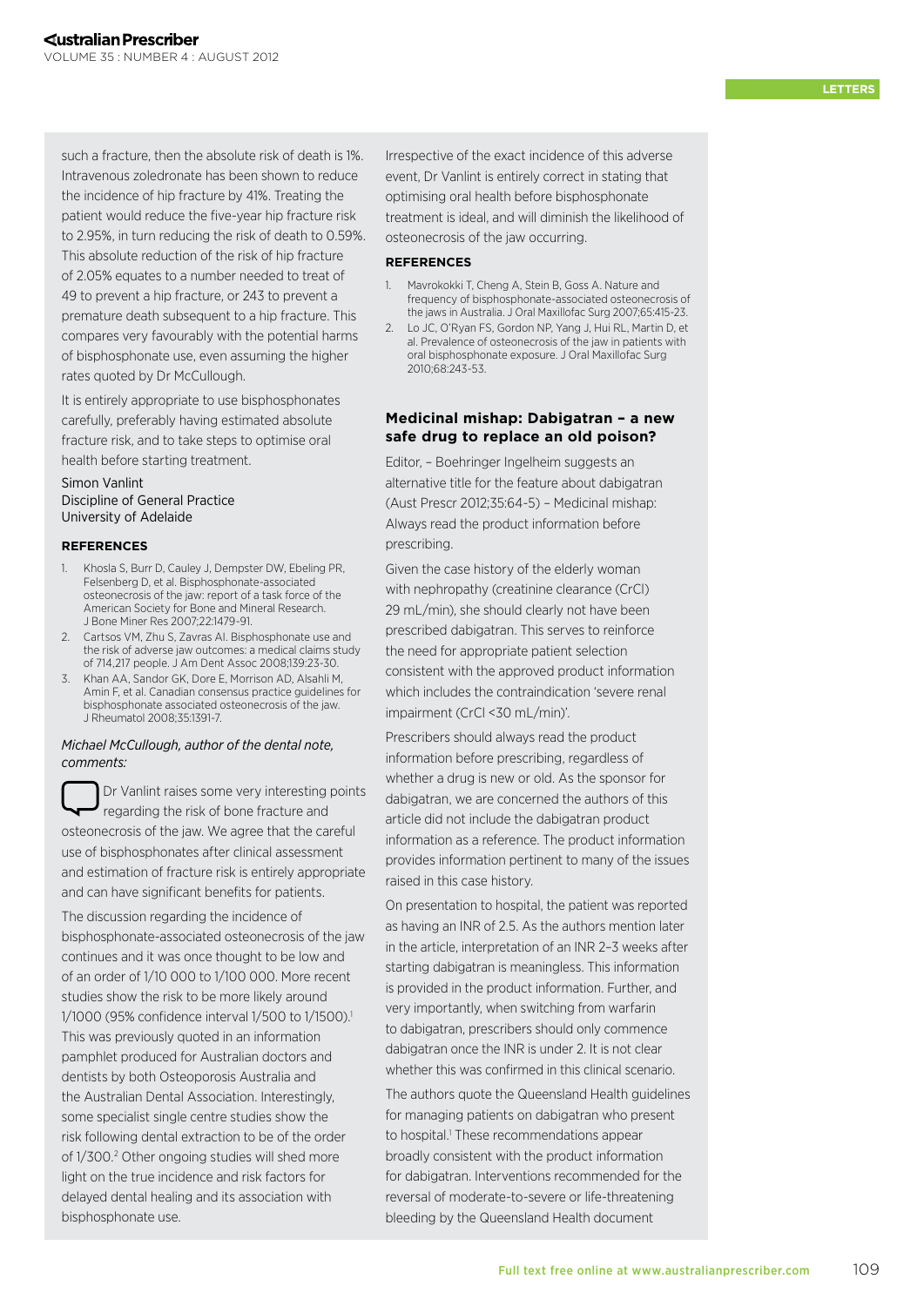such a fracture, then the absolute risk of death is 1%. Intravenous zoledronate has been shown to reduce the incidence of hip fracture by 41%. Treating the patient would reduce the five-year hip fracture risk to 2.95%, in turn reducing the risk of death to 0.59%. This absolute reduction of the risk of hip fracture of 2.05% equates to a number needed to treat of 49 to prevent a hip fracture, or 243 to prevent a premature death subsequent to a hip fracture. This compares very favourably with the potential harms of bisphosphonate use, even assuming the higher rates quoted by Dr McCullough.

It is entirely appropriate to use bisphosphonates carefully, preferably having estimated absolute fracture risk, and to take steps to optimise oral health before starting treatment.

# Simon Vanlint Discipline of General Practice University of Adelaide

#### **RE FEREN CES**

- 1. [Khosla S, Burr D, Cauley J, Dempster DW, Ebeling PR,](http://www.ncbi.nlm.nih.gov/pubmed/17663640)  [Felsenberg D, et al. Bisphosphonate-associated](http://www.ncbi.nlm.nih.gov/pubmed/17663640)  [osteonecrosis of the jaw: report of a task force of the](http://www.ncbi.nlm.nih.gov/pubmed/17663640)  [American Society for Bone and Mineral Research.](http://www.ncbi.nlm.nih.gov/pubmed/17663640)  [J Bone Miner Res 2007;22:1479-91.](http://www.ncbi.nlm.nih.gov/pubmed/17663640)
- 2. [Cartsos VM, Zhu S, Zavras AI. Bisphosphonate use and](http://www.ncbi.nlm.nih.gov/pubmed/18167381)  [the risk of adverse jaw outcomes: a medical claims study](http://www.ncbi.nlm.nih.gov/pubmed/18167381)  [of 714,217 people. J Am Dent Assoc 2008;139:23-30.](http://www.ncbi.nlm.nih.gov/pubmed/18167381)
- 3. [Khan AA, Sandor GK, Dore E, Morrison AD, Alsahli M,](http://www.ncbi.nlm.nih.gov/pubmed/18528958)  [Amin F, et al. Canadian consensus practice guidelines for](http://www.ncbi.nlm.nih.gov/pubmed/18528958)  [bisphosphonate associated osteonecrosis of the jaw.](http://www.ncbi.nlm.nih.gov/pubmed/18528958)  [J Rheumatol 2008;35:1391-7.](http://www.ncbi.nlm.nih.gov/pubmed/18528958)

## *Michael McCullough, author of the dental note, comments:*

Dr Vanlint raises some very interesting points regarding the risk of bone fracture and osteonecrosis of the jaw. We agree that the careful use of bisphosphonates after clinical assessment and estimation of fracture risk is entirely appropriate and can have significant benefits for patients.

The discussion regarding the incidence of bisphosphonate-associated osteonecrosis of the jaw continues and it was once thought to be low and of an order of 1/10 000 to 1/100 000. More recent studies show the risk to be more likely around 1/1000 (95% confidence interval 1/500 to 1/1500). 1 This was previously quoted in an information pamphlet produced for Australian doctors and dentists by both Osteoporosis Australia and the Australian Dental Association. Interestingly, some specialist single centre studies show the risk following dental extraction to be of the order of 1/300. 2 Other ongoing studies will shed more light on the true incidence and risk factors for delayed dental healing and its association with bisphosphonate use.

Irrespective of the exact incidence of this adverse event, Dr Vanlint is entirely correct in stating that optimising oral health before bisphosphonate treatment is ideal, and will diminish the likelihood of osteonecrosis of the jaw occurring.

#### **RE FEREN CES**

- 1. [Mavrokokki T, Cheng A, Stein B, Goss A. Nature and](http://www.ncbi.nlm.nih.gov/pubmed/17307586)  [frequency of bisphosphonate-associated osteonecrosis of](http://www.ncbi.nlm.nih.gov/pubmed/17307586)  [the jaws in Australia. J Oral Maxillofac Surg 2007;65:415-23.](http://www.ncbi.nlm.nih.gov/pubmed/17307586)
- 2. [Lo JC, O'Ryan FS, Gordon NP, Yang J, Hui RL, Martin D, et](http://www.ncbi.nlm.nih.gov/pubmed/19772941)  [al. Prevalence of osteonecrosis of the jaw in patients with](http://www.ncbi.nlm.nih.gov/pubmed/19772941)  [oral bisphosphonate exposure. J Oral Maxillofac Surg](http://www.ncbi.nlm.nih.gov/pubmed/19772941)  [2010;68:243-53.](http://www.ncbi.nlm.nih.gov/pubmed/19772941)

# **Medicinal mishap: Dabigatran – a new safe drug to replace an old poison?**

Editor, – Boehringer Ingelheim suggests an alternative title for the feature about dabigatran [\(Aust Prescr 2012;35:64-5](http://www.australianprescriber.com/magazine/35/2/64/5)) – Medicinal mishap: Always read the product information before prescribing.

Given the case history of the elderly woman with nephropathy (creatinine clearance (CrCl) 29 mL/min), she should clearly not have been prescribed dabigatran. This serves to reinforce the need for appropriate patient selection consistent with the approved product information which includes the contraindication 'severe renal impairment (CrCl <30 mL/min)'.

Prescribers should always read the product information before prescribing, regardless of whether a drug is new or old. As the sponsor for dabigatran, we are concerned the authors of this article did not include the dabigatran product information as a reference. The product information provides information pertinent to many of the issues raised in this case history.

On presentation to hospital, the patient was reported as having an INR of 2.5. As the authors mention later in the article, interpretation of an INR 2–3 weeks after starting dabigatran is meaningless. This information is provided in the product information. Further, and very importantly, when switching from warfarin to dabigatran, prescribers should only commence dabigatran once the INR is under 2. It is not clear whether this was confirmed in this clinical scenario.

The authors quote the Queensland Health guidelines for managing patients on dabigatran who present to hospital.<sup>1</sup> These recommendations appear broadly consistent with the product information for dabigatran. Interventions recommended for the reversal of moderate-to-severe or life-threatening bleeding by the Queensland Health document